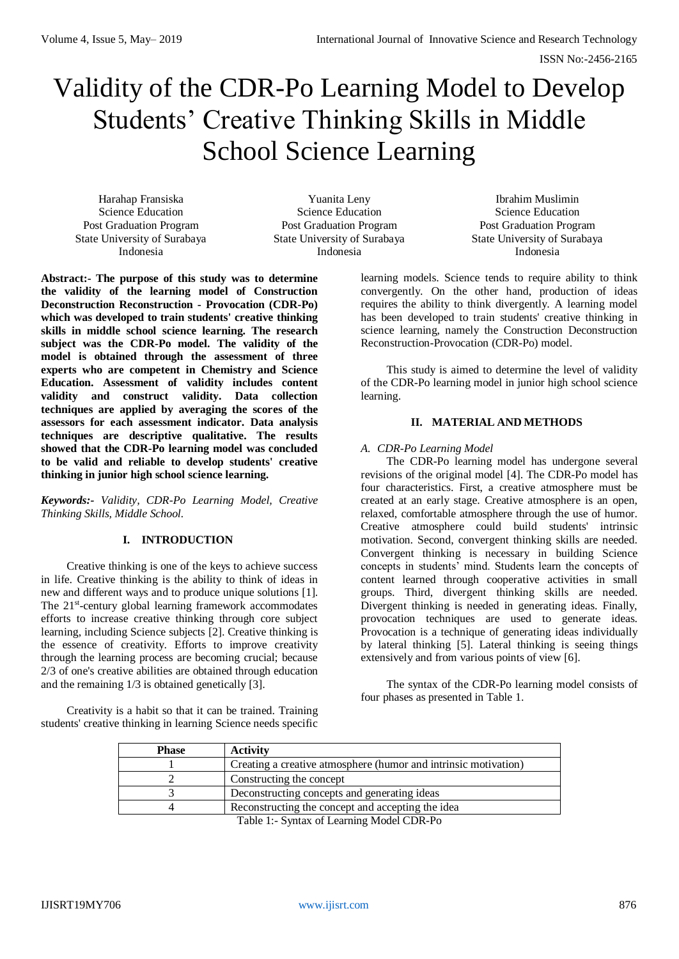# Validity of the CDR-Po Learning Model to Develop Students' Creative Thinking Skills in Middle School Science Learning

Harahap Fransiska Science Education Post Graduation Program State University of Surabaya Indonesia

Yuanita Leny Science Education Post Graduation Program State University of Surabaya Indonesia

Ibrahim Muslimin Science Education Post Graduation Program State University of Surabaya Indonesia

**Abstract:- The purpose of this study was to determine the validity of the learning model of Construction Deconstruction Reconstruction - Provocation (CDR-Po) which was developed to train students' creative thinking skills in middle school science learning. The research subject was the CDR-Po model. The validity of the model is obtained through the assessment of three experts who are competent in Chemistry and Science Education. Assessment of validity includes content validity and construct validity. Data collection techniques are applied by averaging the scores of the assessors for each assessment indicator. Data analysis techniques are descriptive qualitative. The results showed that the CDR-Po learning model was concluded to be valid and reliable to develop students' creative thinking in junior high school science learning.**

*Keywords:- Validity, CDR-Po Learning Model, Creative Thinking Skills, Middle School.*

# **I. INTRODUCTION**

Creative thinking is one of the keys to achieve success in life. Creative thinking is the ability to think of ideas in new and different ways and to produce unique solutions [1]. The 21<sup>st</sup>-century global learning framework accommodates efforts to increase creative thinking through core subject learning, including Science subjects [2]. Creative thinking is the essence of creativity. Efforts to improve creativity through the learning process are becoming crucial; because 2/3 of one's creative abilities are obtained through education and the remaining 1/3 is obtained genetically [3].

Creativity is a habit so that it can be trained. Training students' creative thinking in learning Science needs specific learning models. Science tends to require ability to think convergently. On the other hand, production of ideas requires the ability to think divergently. A learning model has been developed to train students' creative thinking in science learning, namely the Construction Deconstruction Reconstruction-Provocation (CDR-Po) model.

This study is aimed to determine the level of validity of the CDR-Po learning model in junior high school science learning.

## **II. MATERIAL AND METHODS**

## *A. CDR-Po Learning Model*

The CDR-Po learning model has undergone several revisions of the original model [4]. The CDR-Po model has four characteristics. First, a creative atmosphere must be created at an early stage. Creative atmosphere is an open, relaxed, comfortable atmosphere through the use of humor. Creative atmosphere could build students' intrinsic motivation. Second, convergent thinking skills are needed. Convergent thinking is necessary in building Science concepts in students' mind. Students learn the concepts of content learned through cooperative activities in small groups. Third, divergent thinking skills are needed. Divergent thinking is needed in generating ideas. Finally, provocation techniques are used to generate ideas. Provocation is a technique of generating ideas individually by lateral thinking [5]. Lateral thinking is seeing things extensively and from various points of view [6].

The syntax of the CDR-Po learning model consists of four phases as presented in Table 1.

| <b>Phase</b> | <b>Activity</b>                                                 |
|--------------|-----------------------------------------------------------------|
|              | Creating a creative atmosphere (humor and intrinsic motivation) |
|              | Constructing the concept                                        |
|              | Deconstructing concepts and generating ideas                    |
|              | Reconstructing the concept and accepting the idea               |
|              | Teble 1: Syntax of Leeping Model CDD De                         |

Table 1:- Syntax of Learning Model CDR-Po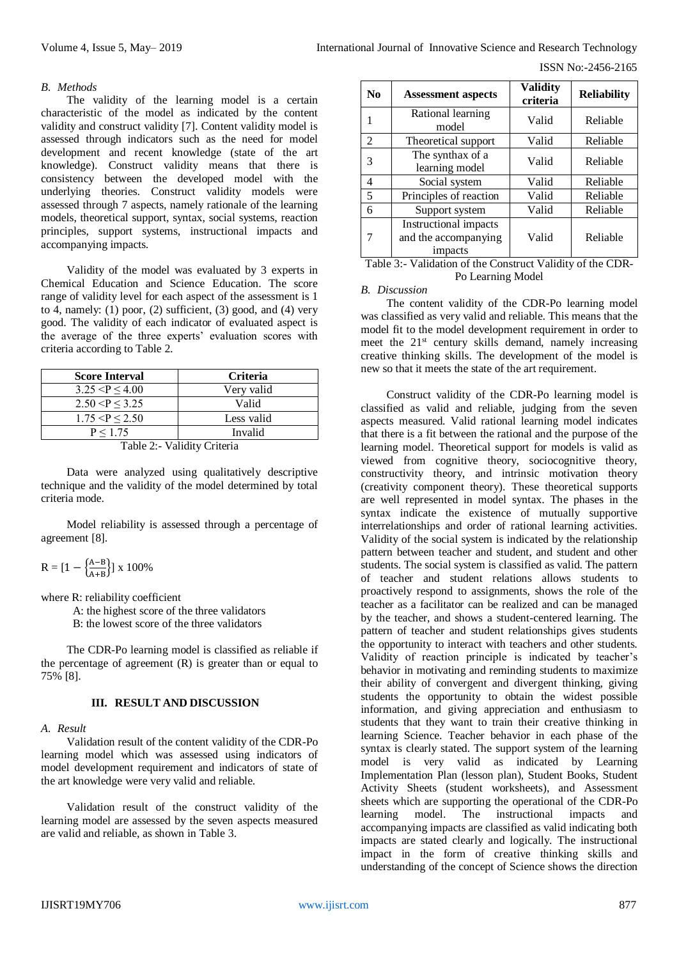ISSN No:-2456-2165

#### *B. Methods*

The validity of the learning model is a certain characteristic of the model as indicated by the content validity and construct validity [7]. Content validity model is assessed through indicators such as the need for model development and recent knowledge (state of the art knowledge). Construct validity means that there is consistency between the developed model with the underlying theories. Construct validity models were assessed through 7 aspects, namely rationale of the learning models, theoretical support, syntax, social systems, reaction principles, support systems, instructional impacts and accompanying impacts.

Validity of the model was evaluated by 3 experts in Chemical Education and Science Education. The score range of validity level for each aspect of the assessment is 1 to 4, namely: (1) poor, (2) sufficient, (3) good, and (4) very good. The validity of each indicator of evaluated aspect is the average of the three experts' evaluation scores with criteria according to Table 2.

| <b>Score Interval</b> | <b>Criteria</b> |  |
|-----------------------|-----------------|--|
| 3.25 < P < 4.00       | Very valid      |  |
| 2.50 < P < 3.25       | Valid           |  |
| 1.75 < P < 2.50       | Less valid      |  |
| P < 1.75              | Invalid         |  |

Table 2:- Validity Criteria

Data were analyzed using qualitatively descriptive technique and the validity of the model determined by total criteria mode.

Model reliability is assessed through a percentage of agreement [8].

$$
R = [1 - \left\{ \frac{A - B}{A + B} \right\}] \ge 100\%
$$

where R: reliability coefficient

A: the highest score of the three validators

B: the lowest score of the three validators

The CDR-Po learning model is classified as reliable if the percentage of agreement (R) is greater than or equal to 75% [8].

## **III. RESULT AND DISCUSSION**

## *A. Result*

Validation result of the content validity of the CDR-Po learning model which was assessed using indicators of model development requirement and indicators of state of the art knowledge were very valid and reliable.

Validation result of the construct validity of the learning model are assessed by the seven aspects measured are valid and reliable, as shown in Table 3.

| No | <b>Assessment aspects</b>                                       | <b>Validity</b><br>criteria | <b>Reliability</b> |
|----|-----------------------------------------------------------------|-----------------------------|--------------------|
|    | Rational learning<br>model                                      | Valid                       | Reliable           |
| 2  | Theoretical support                                             | Valid                       | Reliable           |
| 3  | The synthax of a<br>learning model                              | Valid                       | Reliable           |
| 4  | Social system                                                   | Valid                       | Reliable           |
| 5  | Principles of reaction                                          | Valid                       | Reliable           |
| 6  | Support system                                                  | Valid                       | Reliable           |
|    | <b>Instructional impacts</b><br>and the accompanying<br>impacts | Valid                       | Reliable           |

Table 3:- Validation of the Construct Validity of the CDR-Po Learning Model

#### *B. Discussion*

The content validity of the CDR-Po learning model was classified as very valid and reliable. This means that the model fit to the model development requirement in order to meet the  $21^{st}$  century skills demand, namely increasing creative thinking skills. The development of the model is new so that it meets the state of the art requirement.

Construct validity of the CDR-Po learning model is classified as valid and reliable, judging from the seven aspects measured. Valid rational learning model indicates that there is a fit between the rational and the purpose of the learning model. Theoretical support for models is valid as viewed from cognitive theory, sociocognitive theory, constructivity theory, and intrinsic motivation theory (creativity component theory). These theoretical supports are well represented in model syntax. The phases in the syntax indicate the existence of mutually supportive interrelationships and order of rational learning activities. Validity of the social system is indicated by the relationship pattern between teacher and student, and student and other students. The social system is classified as valid. The pattern of teacher and student relations allows students to proactively respond to assignments, shows the role of the teacher as a facilitator can be realized and can be managed by the teacher, and shows a student-centered learning. The pattern of teacher and student relationships gives students the opportunity to interact with teachers and other students. Validity of reaction principle is indicated by teacher's behavior in motivating and reminding students to maximize their ability of convergent and divergent thinking, giving students the opportunity to obtain the widest possible information, and giving appreciation and enthusiasm to students that they want to train their creative thinking in learning Science. Teacher behavior in each phase of the syntax is clearly stated. The support system of the learning model is very valid as indicated by Learning Implementation Plan (lesson plan), Student Books, Student Activity Sheets (student worksheets), and Assessment sheets which are supporting the operational of the CDR-Po learning model. The instructional impacts and accompanying impacts are classified as valid indicating both impacts are stated clearly and logically. The instructional impact in the form of creative thinking skills and understanding of the concept of Science shows the direction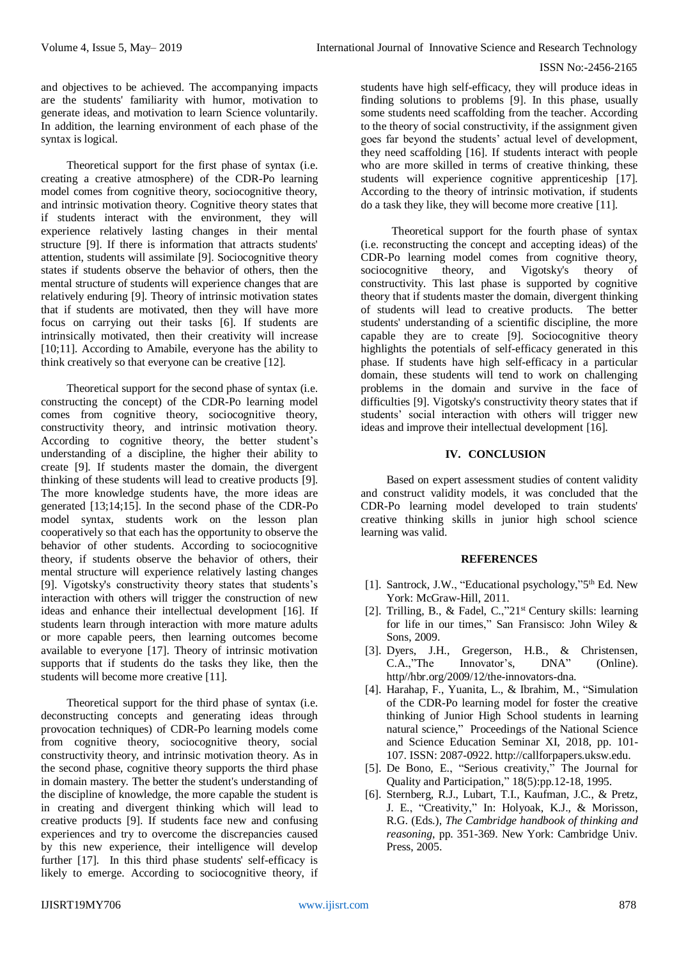#### ISSN No:-2456-2165

and objectives to be achieved. The accompanying impacts are the students' familiarity with humor, motivation to generate ideas, and motivation to learn Science voluntarily. In addition, the learning environment of each phase of the syntax is logical.

Theoretical support for the first phase of syntax (i.e. creating a creative atmosphere) of the CDR-Po learning model comes from cognitive theory, sociocognitive theory, and intrinsic motivation theory. Cognitive theory states that if students interact with the environment, they will experience relatively lasting changes in their mental structure [9]. If there is information that attracts students' attention, students will assimilate [9]. Sociocognitive theory states if students observe the behavior of others, then the mental structure of students will experience changes that are relatively enduring [9]. Theory of intrinsic motivation states that if students are motivated, then they will have more focus on carrying out their tasks [6]. If students are intrinsically motivated, then their creativity will increase [10;11]. According to Amabile, everyone has the ability to think creatively so that everyone can be creative [12].

Theoretical support for the second phase of syntax (i.e. constructing the concept) of the CDR-Po learning model comes from cognitive theory, sociocognitive theory, constructivity theory, and intrinsic motivation theory. According to cognitive theory, the better student's understanding of a discipline, the higher their ability to create [9]. If students master the domain, the divergent thinking of these students will lead to creative products [9]. The more knowledge students have, the more ideas are generated [13;14;15]. In the second phase of the CDR-Po model syntax, students work on the lesson plan cooperatively so that each has the opportunity to observe the behavior of other students. According to sociocognitive theory, if students observe the behavior of others, their mental structure will experience relatively lasting changes [9]. Vigotsky's constructivity theory states that students's interaction with others will trigger the construction of new ideas and enhance their intellectual development [16]. If students learn through interaction with more mature adults or more capable peers, then learning outcomes become available to everyone [17]. Theory of intrinsic motivation supports that if students do the tasks they like, then the students will become more creative [11].

Theoretical support for the third phase of syntax (i.e. deconstructing concepts and generating ideas through provocation techniques) of CDR-Po learning models come from cognitive theory, sociocognitive theory, social constructivity theory, and intrinsic motivation theory. As in the second phase, cognitive theory supports the third phase in domain mastery. The better the student's understanding of the discipline of knowledge, the more capable the student is in creating and divergent thinking which will lead to creative products [9]. If students face new and confusing experiences and try to overcome the discrepancies caused by this new experience, their intelligence will develop further [17]. In this third phase students' self-efficacy is likely to emerge. According to sociocognitive theory, if

students have high self-efficacy, they will produce ideas in finding solutions to problems [9]. In this phase, usually some students need scaffolding from the teacher. According to the theory of social constructivity, if the assignment given goes far beyond the students' actual level of development, they need scaffolding [16]. If students interact with people who are more skilled in terms of creative thinking, these students will experience cognitive apprenticeship [17]. According to the theory of intrinsic motivation, if students do a task they like, they will become more creative [11].

Theoretical support for the fourth phase of syntax (i.e. reconstructing the concept and accepting ideas) of the CDR-Po learning model comes from cognitive theory, sociocognitive theory, and Vigotsky's theory of constructivity. This last phase is supported by cognitive theory that if students master the domain, divergent thinking of students will lead to creative products. The better students' understanding of a scientific discipline, the more capable they are to create [9]. Sociocognitive theory highlights the potentials of self-efficacy generated in this phase. If students have high self-efficacy in a particular domain, these students will tend to work on challenging problems in the domain and survive in the face of difficulties [9]. Vigotsky's constructivity theory states that if students' social interaction with others will trigger new ideas and improve their intellectual development [16].

## **IV. CONCLUSION**

Based on expert assessment studies of content validity and construct validity models, it was concluded that the CDR-Po learning model developed to train students' creative thinking skills in junior high school science learning was valid.

#### **REFERENCES**

- [1]. Santrock, J.W., "Educational psychology,"5<sup>th</sup> Ed. New York: McGraw-Hill, 2011.
- [2]. Trilling, B., & Fadel, C.,"21st Century skills: learning for life in our times," San Fransisco: John Wiley & Sons, 2009.
- [3]. Dyers, J.H., Gregerson, H.B., & Christensen, C.A.,"The Innovator's, DNA" (Online). http//hbr.org/2009/12/the-innovators-dna.
- [4]. Harahap, F., Yuanita, L., & Ibrahim, M., "Simulation of the CDR-Po learning model for foster the creative thinking of Junior High School students in learning natural science," Proceedings of the National Science and Science Education Seminar XI, 2018, pp. 101- 107. ISSN: 2087-0922[. http://callforpapers.uksw.edu.](http://callforpapers.uksw.edu/)
- [5]. De Bono, E., "Serious creativity," The Journal for Quality and Participation," 18(5):pp.12-18, 1995.
- [6]. Sternberg, R.J., Lubart, T.I., Kaufman, J.C., & Pretz, J. E., "Creativity," In: Holyoak, K.J., & Morisson, R.G. (Eds.), *The Cambridge handbook of thinking and reasoning*, pp. 351-369. New York: Cambridge Univ. Press, 2005.